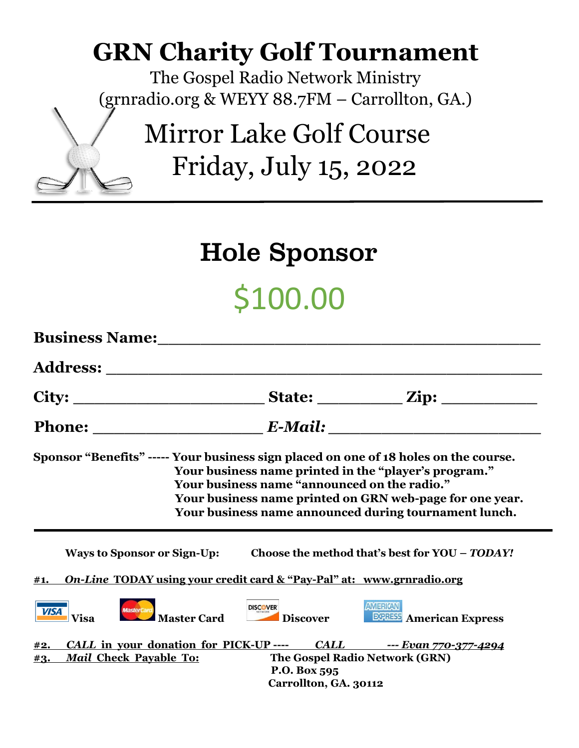## **GRN Charity Golf Tournament**

The Gospel Radio Network Ministry (grnradio.org & WEYY 88.7FM – Carrollton, GA.)

> Mirror Lake Golf Course Friday, July 15, 2022

#### Hole Sponsor

# \$100.00

| <b>Business Name:</b> The Second Second Second Second Second Second Second Second Second Second Second Second Second Second Second Second Second Second Second Second Second Second Second Second Second Second Second Second Secon |                                              |                                                                                                                                                                            |
|-------------------------------------------------------------------------------------------------------------------------------------------------------------------------------------------------------------------------------------|----------------------------------------------|----------------------------------------------------------------------------------------------------------------------------------------------------------------------------|
|                                                                                                                                                                                                                                     |                                              |                                                                                                                                                                            |
| City:                                                                                                                                                                                                                               |                                              | State: <u>Zip:</u>                                                                                                                                                         |
|                                                                                                                                                                                                                                     |                                              |                                                                                                                                                                            |
| Sponsor "Benefits" ----- Your business sign placed on one of 18 holes on the course.                                                                                                                                                | Your business name "announced on the radio." | Your business name printed in the "player's program."<br>Your business name printed on GRN web-page for one year.<br>Your business name announced during tournament lunch. |
|                                                                                                                                                                                                                                     |                                              | Ways to Sponsor or Sign-Up: Choose the method that's best for YOU – TODAY!                                                                                                 |
| <u>On-Line TODAY using your credit card &amp; "Pay-Pal" at: www.grnradio.org</u><br>#1.                                                                                                                                             |                                              |                                                                                                                                                                            |
| MasterCard<br>Master Card<br><b>VISA</b><br><b>Visa</b>                                                                                                                                                                             | <b>DISCOVER</b><br>Discover                  | <b>AMERICAN</b><br><b>ECRESS</b> American Express                                                                                                                          |
| #2.                                                                                                                                                                                                                                 |                                              | CALL in your donation for PICK-UP ---- CALL ---- Evan 770-377-4294                                                                                                         |
| <b>Mail Check Payable To:</b><br>#3.                                                                                                                                                                                                | P.O. Box 595                                 | The Gospel Radio Network (GRN)                                                                                                                                             |
|                                                                                                                                                                                                                                     | Carrollton, GA. 30112                        |                                                                                                                                                                            |